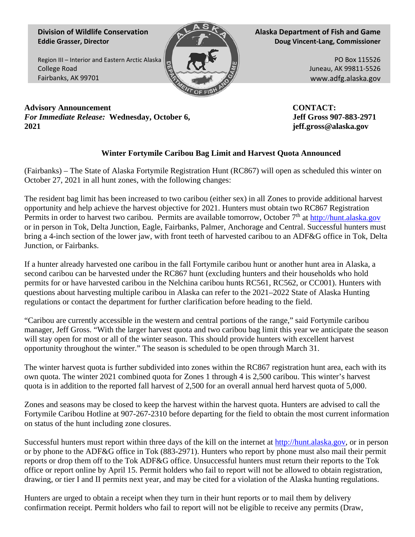**Division of Wildlife Conservation Eddie Grasser, Director**

Region III – Interior and Eastern Arctic Alaska College Road Fairbanks, AK 99701



**Alaska Department of Fish and Game Doug Vincent-Lang, Commissioner**

> PO Box 115526 Juneau, AK 99811-5526 www.adfg.alaska.gov

**Advisory Announcement** *For Immediate Release:* **Wednesday, October 6, 2021**

**CONTACT: Jeff Gross 907-883-2971 jeff.gross@alaska.gov**

## **Winter Fortymile Caribou Bag Limit and Harvest Quota Announced**

(Fairbanks) – The State of Alaska Fortymile Registration Hunt (RC867) will open as scheduled this winter on October 27, 2021 in all hunt zones, with the following changes:

The resident bag limit has been increased to two caribou (either sex) in all Zones to provide additional harvest opportunity and help achieve the harvest objective for 2021. Hunters must obtain two RC867 Registration Permits in order to harvest two caribou. Permits are available tomorrow, October 7<sup>th</sup> at http://hunt.alaska.gov or in person in Tok, Delta Junction, Eagle, Fairbanks, Palmer, Anchorage and Central. Successful hunters must bring a 4-inch section of the lower jaw, with front teeth of harvested caribou to an ADF&G office in Tok, Delta Junction, or Fairbanks.

If a hunter already harvested one caribou in the fall Fortymile caribou hunt or another hunt area in Alaska, a second caribou can be harvested under the RC867 hunt (excluding hunters and their households who hold permits for or have harvested caribou in the Nelchina caribou hunts RC561, RC562, or CC001). Hunters with questions about harvesting multiple caribou in Alaska can refer to the 2021–2022 State of Alaska Hunting regulations or contact the department for further clarification before heading to the field.

"Caribou are currently accessible in the western and central portions of the range," said Fortymile caribou manager, Jeff Gross. "With the larger harvest quota and two caribou bag limit this year we anticipate the season will stay open for most or all of the winter season. This should provide hunters with excellent harvest opportunity throughout the winter." The season is scheduled to be open through March 31.

The winter harvest quota is further subdivided into zones within the RC867 registration hunt area, each with its own quota. The winter 2021 combined quota for Zones 1 through 4 is 2,500 caribou. This winter's harvest quota is in addition to the reported fall harvest of 2,500 for an overall annual herd harvest quota of 5,000.

Zones and seasons may be closed to keep the harvest within the harvest quota. Hunters are advised to call the Fortymile Caribou Hotline at 907-267-2310 before departing for the field to obtain the most current information on status of the hunt including zone closures.

Successful hunters must report within three days of the kill on the internet at [http://hunt.alaska.gov,](http://hunt.alaska.gov/) or in person or by phone to the ADF&G office in Tok (883-2971). Hunters who report by phone must also mail their permit reports or drop them off to the Tok ADF&G office. Unsuccessful hunters must return their reports to the Tok office or report online by April 15. Permit holders who fail to report will not be allowed to obtain registration, drawing, or tier I and II permits next year, and may be cited for a violation of the Alaska hunting regulations.

Hunters are urged to obtain a receipt when they turn in their hunt reports or to mail them by delivery confirmation receipt. Permit holders who fail to report will not be eligible to receive any permits (Draw,